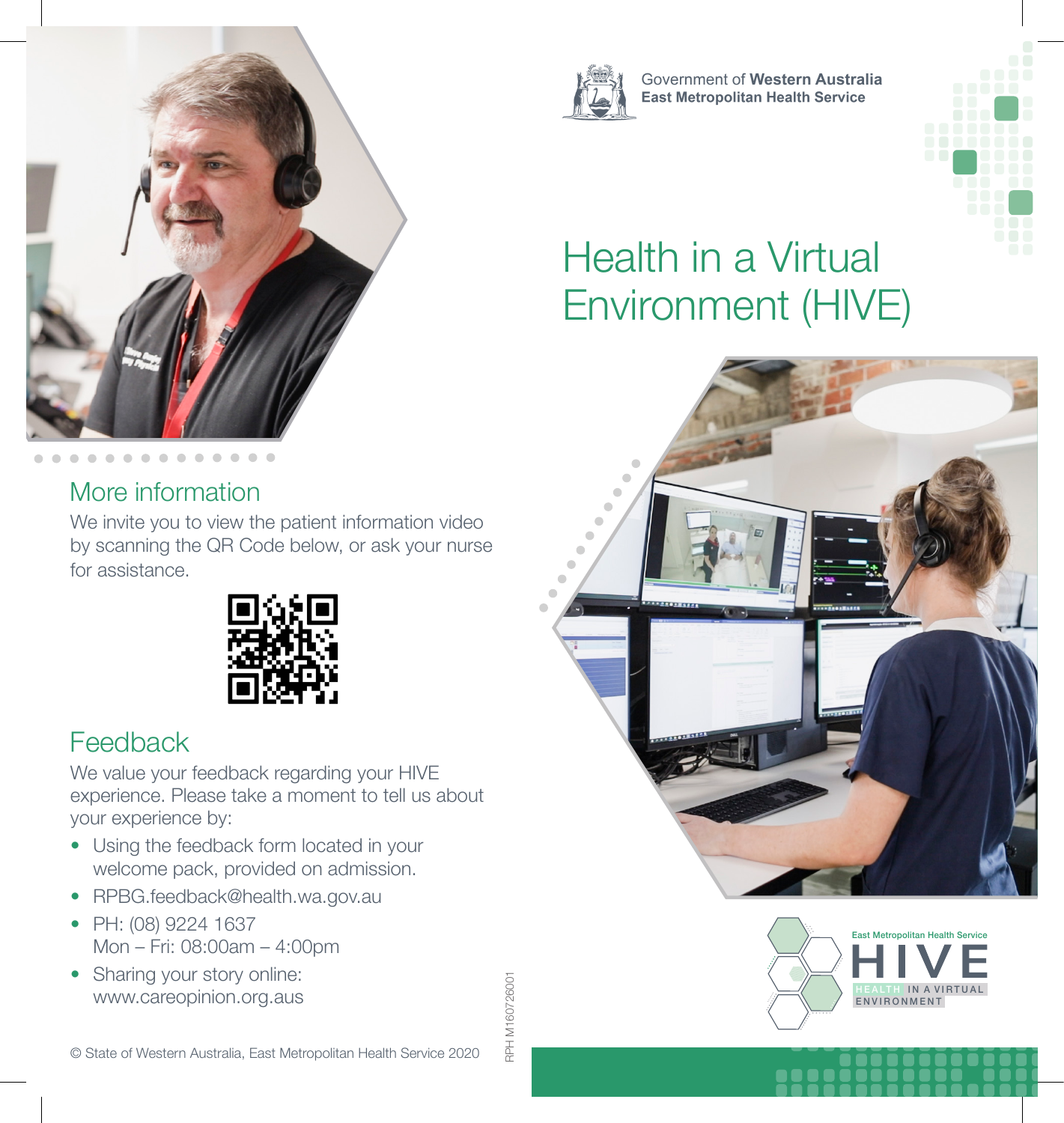

#### More information

We invite you to view the patient information video by scanning the QR Code below, or ask your nurse for assistance.



### Feedback

We value your feedback regarding your HIVE experience. Please take a moment to tell us about your experience by:

- Using the feedback form located in your welcome pack, provided on admission.
- RPBG.feedback@health.wa.gov.au
- PH: (08) 9224 1637 Mon – Fri: 08:00am – 4:00pm
- Sharing your story online: www.careopinion.org.aus







Government of Western Australia **East Metropolitan Health Service** 

# Health in a Virtual Environment (HIVE)